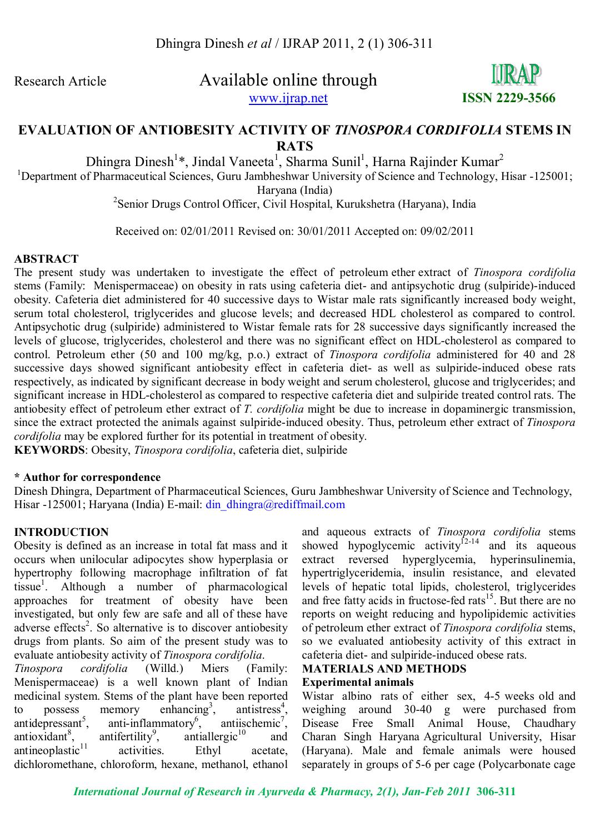Research Article Available online through www.ijrap.net **ISSN 2229-3566**



## **EVALUATION OF ANTIOBESITY ACTIVITY OF** *TINOSPORA CORDIFOLIA* **STEMS IN RATS**

Dhingra Dinesh<sup>1</sup>\*, Jindal Vaneeta<sup>1</sup>, Sharma Sunil<sup>1</sup>, Harna Rajinder Kumar<sup>2</sup>

<sup>1</sup>Department of Pharmaceutical Sciences, Guru Jambheshwar University of Science and Technology, Hisar -125001;

Haryana (India)

2 Senior Drugs Control Officer, Civil Hospital, Kurukshetra (Haryana), India

Received on: 02/01/2011 Revised on: 30/01/2011 Accepted on: 09/02/2011

#### **ABSTRACT**

The present study was undertaken to investigate the effect of petroleum ether extract of *Tinospora cordifolia* stems (Family: Menispermaceae) on obesity in rats using cafeteria diet- and antipsychotic drug (sulpiride)-induced obesity. Cafeteria diet administered for 40 successive days to Wistar male rats significantly increased body weight, serum total cholesterol, triglycerides and glucose levels; and decreased HDL cholesterol as compared to control. Antipsychotic drug (sulpiride) administered to Wistar female rats for 28 successive days significantly increased the levels of glucose, triglycerides, cholesterol and there was no significant effect on HDL-cholesterol as compared to control. Petroleum ether (50 and 100 mg/kg, p.o.) extract of *Tinospora cordifolia* administered for 40 and 28 successive days showed significant antiobesity effect in cafeteria diet- as well as sulpiride-induced obese rats respectively, as indicated by significant decrease in body weight and serum cholesterol, glucose and triglycerides; and significant increase in HDL-cholesterol as compared to respective cafeteria diet and sulpiride treated control rats. The antiobesity effect of petroleum ether extract of *T. cordifolia* might be due to increase in dopaminergic transmission, since the extract protected the animals against sulpiride-induced obesity. Thus, petroleum ether extract of *Tinospora cordifolia* may be explored further for its potential in treatment of obesity.

**KEYWORDS**: Obesity, *Tinospora cordifolia*, cafeteria diet, sulpiride

#### **\* Author for correspondence**

Dinesh Dhingra, Department of Pharmaceutical Sciences, Guru Jambheshwar University of Science and Technology, Hisar -125001; Haryana (India) E-mail: din dhingra@rediffmail.com

## **INTRODUCTION**

Obesity is defined as an increase in total fat mass and it occurs when unilocular adipocytes show hyperplasia or hypertrophy following macrophage infiltration of fat tissue<sup>1</sup> . Although a number of pharmacological approaches for treatment of obesity have been investigated, but only few are safe and all of these have adverse effects<sup>2</sup>. So alternative is to discover antiobesity drugs from plants. So aim of the present study was to evaluate antiobesity activity of *Tinospora cordifolia*.

*Tinospora cordifolia* (Willd.) Miers (Family: Menispermaceae) is a well known plant of Indian medicinal system. Stems of the plant have been reported to possess memory enhancing<sup>3</sup>,  $,$  antistress<sup>4</sup>, antidepressant $5$ . anti-inflammatory $6$ ,  $,$  antiischemic<sup>7</sup>, antioxidant $8$ , antifertility<sup>9</sup>, antiallergic $10$  and  $antineoplastic<sup>11</sup>$  activities. Ethyl acetate, dichloromethane, chloroform, hexane, methanol, ethanol

and aqueous extracts of *Tinospora cordifolia* stems showed hypoglycemic activity $12-14$  and its aqueous extract reversed hyperglycemia, hyperinsulinemia, hypertriglyceridemia, insulin resistance, and elevated levels of hepatic total lipids, cholesterol, triglycerides and free fatty acids in fructose-fed rats<sup>15</sup>. But there are no reports on weight reducing and hypolipidemic activities of petroleum ether extract of *Tinospora cordifolia* stems, so we evaluated antiobesity activity of this extract in cafeteria diet- and sulpiride-induced obese rats.

#### **MATERIALS AND METHODS Experimental animals**

Wistar albino rats of either sex, 4-5 weeks old and weighing around 30-40 g were purchased from Disease Free Small Animal House, Chaudhary Charan Singh Haryana Agricultural University, Hisar (Haryana). Male and female animals were housed separately in groups of 5-6 per cage (Polycarbonate cage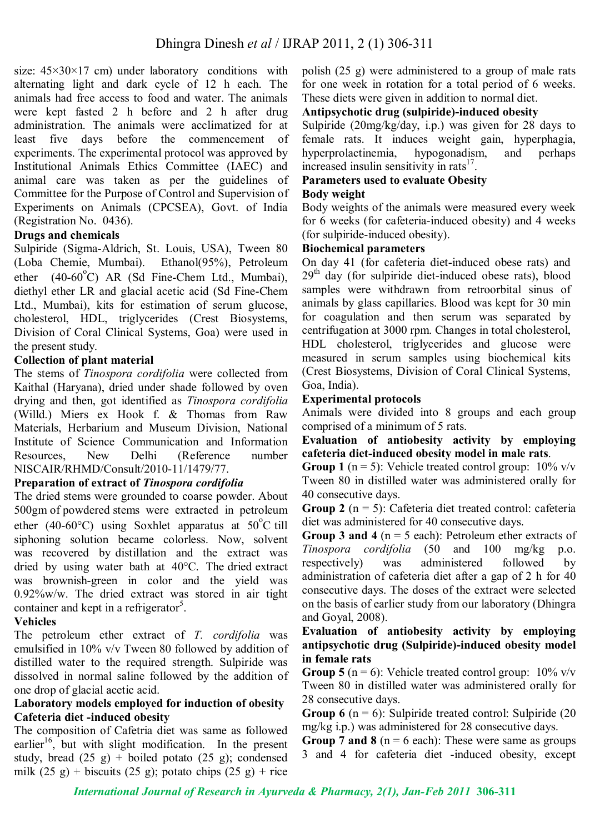size:  $45 \times 30 \times 17$  cm) under laboratory conditions with alternating light and dark cycle of 12 h each. The animals had free access to food and water. The animals were kept fasted 2 h before and 2 h after drug administration. The animals were acclimatized for at least five days before the commencement of experiments. The experimental protocol was approved by Institutional Animals Ethics Committee (IAEC) and animal care was taken as per the guidelines of Committee for the Purpose of Control and Supervision of Experiments on Animals (CPCSEA), Govt. of India (Registration No. 0436).

## **Drugs and chemicals**

Sulpiride (Sigma-Aldrich, St. Louis, USA), Tween 80 (Loba Chemie, Mumbai). Ethanol(95%), Petroleum ether  $(40-60^{\circ}C)$  AR (Sd Fine-Chem Ltd., Mumbai), diethyl ether LR and glacial acetic acid (Sd Fine-Chem Ltd., Mumbai), kits for estimation of serum glucose, cholesterol, HDL, triglycerides (Crest Biosystems, Division of Coral Clinical Systems, Goa) were used in the present study.

## **Collection of plant material**

The stems of *Tinospora cordifolia* were collected from Kaithal (Haryana), dried under shade followed by oven drying and then, got identified as *Tinospora cordifolia* (Willd.) Miers ex Hook f. & Thomas from Raw Materials, Herbarium and Museum Division, National Institute of Science Communication and Information Resources, New Delhi (Reference number NISCAIR/RHMD/Consult/2010-11/1479/77.

## **Preparation of extract of** *Tinospora cordifolia*

The dried stems were grounded to coarse powder. About 500gm of powdered stems were extracted in petroleum ether (40-60°C) using Soxhlet apparatus at  $50^{\circ}$ C till siphoning solution became colorless. Now, solvent was recovered by distillation and the extract was dried by using water bath at 40°C. The dried extract was brownish-green in color and the yield was 0.92%w/w. The dried extract was stored in air tight container and kept in a refrigerator<sup>5</sup>.

## **Vehicles**

The petroleum ether extract of *T. cordifolia* was emulsified in 10% v/v Tween 80 followed by addition of distilled water to the required strength. Sulpiride was dissolved in normal saline followed by the addition of one drop of glacial acetic acid.

## **Laboratory models employed for induction of obesity Cafeteria diet -induced obesity**

The composition of Cafetria diet was same as followed earlier<sup>16</sup>, but with slight modification. In the present study, bread  $(25 \text{ g})$  + boiled potato  $(25 \text{ g})$ ; condensed milk  $(25 \text{ g})$  + biscuits  $(25 \text{ g})$ ; potato chips  $(25 \text{ g})$  + rice polish (25 g) were administered to a group of male rats for one week in rotation for a total period of 6 weeks. These diets were given in addition to normal diet.

# **Antipsychotic drug (sulpiride)-induced obesity**

Sulpiride (20mg/kg/day, i.p.) was given for 28 days to female rats. It induces weight gain, hyperphagia, hyperprolactinemia, hypogonadism, and perhaps increased insulin sensitivity in rats $17$ .

#### **Parameters used to evaluate Obesity Body weight**

Body weights of the animals were measured every week for 6 weeks (for cafeteria-induced obesity) and 4 weeks (for sulpiride-induced obesity).

## **Biochemical parameters**

On day 41 (for cafeteria diet-induced obese rats) and  $29<sup>th</sup>$  day (for sulpiride diet-induced obese rats), blood samples were withdrawn from retroorbital sinus of animals by glass capillaries. Blood was kept for 30 min for coagulation and then serum was separated by centrifugation at 3000 rpm. Changes in total cholesterol, HDL cholesterol, triglycerides and glucose were measured in serum samples using biochemical kits (Crest Biosystems, Division of Coral Clinical Systems, Goa, India).

## **Experimental protocols**

Animals were divided into 8 groups and each group comprised of a minimum of 5 rats.

**Evaluation of antiobesity activity by employing cafeteria diet-induced obesity model in male rats**.

**Group 1** ( $n = 5$ ): Vehicle treated control group:  $10\%$  v/v Tween 80 in distilled water was administered orally for 40 consecutive days.

**Group 2** ( $n = 5$ ): Cafeteria diet treated control: cafeteria diet was administered for 40 consecutive days.

**Group 3 and 4** (n = 5 each): Petroleum ether extracts of *Tinospora cordifolia* (50 and 100 mg/kg p.o. respectively) was administered followed by administration of cafeteria diet after a gap of 2 h for 40 consecutive days. The doses of the extract were selected on the basis of earlier study from our laboratory (Dhingra and Goyal, 2008).

## **Evaluation of antiobesity activity by employing antipsychotic drug (Sulpiride)-induced obesity model in female rats**

**Group 5** ( $n = 6$ ): Vehicle treated control group:  $10\%$  v/v Tween 80 in distilled water was administered orally for 28 consecutive days.

**Group 6**  $(n = 6)$ : Sulpiride treated control: Sulpiride  $(20)$ mg/kg i.p.) was administered for 28 consecutive days.

**Group 7 and 8** ( $n = 6$  each): These were same as groups 3 and 4 for cafeteria diet -induced obesity, except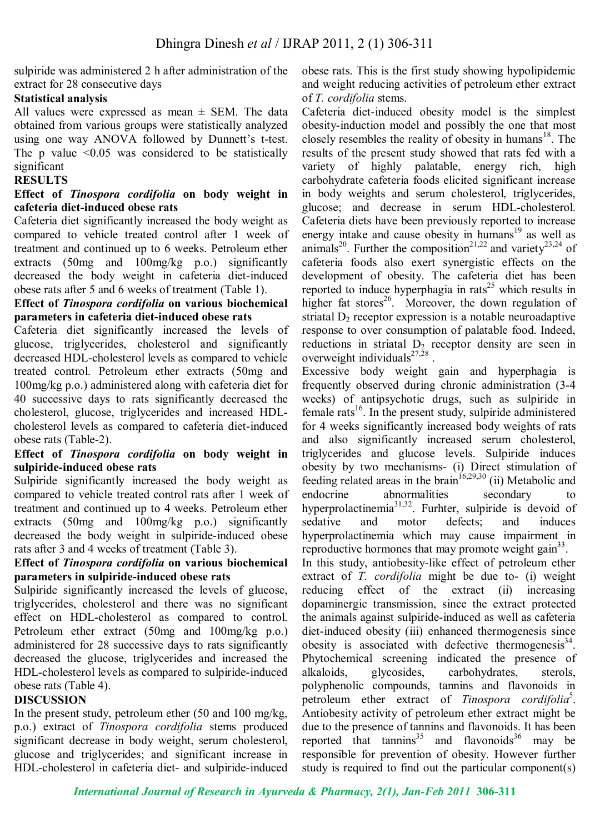sulpiride was administered 2 h after administration of the extract for 28 consecutive days

## **Statistical analysis**

All values were expressed as mean  $\pm$  SEM. The data obtained from various groups were statistically analyzed using one way ANOVA followed by Dunnett's t-test. The p value  $\leq 0.05$  was considered to be statistically significant

## **RESULTS**

## **Effect of** *Tinospora cordifolia* **on body weight in cafeteria diet-induced obese rats**

Cafeteria diet significantly increased the body weight as compared to vehicle treated control after 1 week of treatment and continued up to 6 weeks. Petroleum ether extracts (50mg and 100mg/kg p.o.) significantly decreased the body weight in cafeteria diet-induced obese rats after 5 and 6 weeks of treatment (Table 1).

## **Effect of** *Tinospora cordifolia* **on various biochemical parameters in cafeteria diet-induced obese rats**

Cafeteria diet significantly increased the levels of glucose, triglycerides, cholesterol and significantly decreased HDL-cholesterol levels as compared to vehicle treated control. Petroleum ether extracts (50mg and 100mg/kg p.o.) administered along with cafeteria diet for 40 successive days to rats significantly decreased the cholesterol, glucose, triglycerides and increased HDLcholesterol levels as compared to cafeteria diet-induced obese rats (Table-2).

## **Effect of** *Tinospora cordifolia* **on body weight in sulpiride-induced obese rats**

Sulpiride significantly increased the body weight as compared to vehicle treated control rats after 1 week of treatment and continued up to 4 weeks. Petroleum ether extracts (50mg and 100mg/kg p.o.) significantly decreased the body weight in sulpiride-induced obese rats after 3 and 4 weeks of treatment (Table 3).

## **Effect of** *Tinospora cordifolia* **on various biochemical parameters in sulpiride-induced obese rats**

Sulpiride significantly increased the levels of glucose, triglycerides, cholesterol and there was no significant effect on HDL-cholesterol as compared to control. Petroleum ether extract (50mg and 100mg/kg p.o.) administered for 28 successive days to rats significantly decreased the glucose, triglycerides and increased the HDL-cholesterol levels as compared to sulpiride-induced obese rats (Table 4).

## **DISCUSSION**

In the present study, petroleum ether (50 and 100 mg/kg, p.o.) extract of *Tinospora cordifolia* stems produced significant decrease in body weight, serum cholesterol, glucose and triglycerides; and significant increase in HDL-cholesterol in cafeteria diet- and sulpiride-induced

obese rats. This is the first study showing hypolipidemic and weight reducing activities of petroleum ether extract of *T. cordifolia* stems.

Cafeteria diet-induced obesity model is the simplest obesity-induction model and possibly the one that most closely resembles the reality of obesity in humans<sup>18</sup>. The results of the present study showed that rats fed with a variety of highly palatable, energy rich, high carbohydrate cafeteria foods elicited significant increase in body weights and serum cholesterol, triglycerides, glucose; and decrease in serum HDL-cholesterol. Cafeteria diets have been previously reported to increase energy intake and cause obesity in humans<sup>19</sup> as well as animals<sup>20</sup>. Further the composition<sup>21,22</sup> and variety<sup>23,24</sup> of cafeteria foods also exert synergistic effects on the development of obesity. The cafeteria diet has been reported to induce hyperphagia in rats<sup>25</sup> which results in higher fat stores<sup>26</sup>. Moreover, the down regulation of striatal  $D_2$  receptor expression is a notable neuroadaptive response to over consumption of palatable food. Indeed, reductions in striatal  $D_2$  receptor density are seen in overweight individuals $^{27,28}$ .

Excessive body weight gain and hyperphagia is frequently observed during chronic administration (3-4 weeks) of antipsychotic drugs, such as sulpiride in female rats<sup>16</sup>. In the present study, sulpiride administered for 4 weeks significantly increased body weights of rats and also significantly increased serum cholesterol, triglycerides and glucose levels. Sulpiride induces obesity by two mechanisms- (i) Direct stimulation of feeding related areas in the brain<sup>16,29,30</sup> (ii) Metabolic and endocrine abnormalities secondary to hyperprolactinemia<sup>31,32</sup>. Furhter, sulpiride is devoid of sedative and motor defects; and induces hyperprolactinemia which may cause impairment in reproductive hormones that may promote weight gain $33$ . In this study, antiobesity-like effect of petroleum ether extract of *T. cordifolia* might be due to- (i) weight reducing effect of the extract (ii) increasing dopaminergic transmission, since the extract protected the animals against sulpiride-induced as well as cafeteria diet-induced obesity (iii) enhanced thermogenesis since obesity is associated with defective thermogenesis<sup>34</sup>. Phytochemical screening indicated the presence of alkaloids, glycosides, carbohydrates, sterols, polyphenolic compounds, tannins and flavonoids in petroleum ether extract of *Tinospora cordifolia*<sup>5</sup> . Antiobesity activity of petroleum ether extract might be due to the presence of tannins and flavonoids. It has been reported that  $\tanh^{35}$  and  $\tanh^{36}$  may be responsible for prevention of obesity. However further study is required to find out the particular component(s)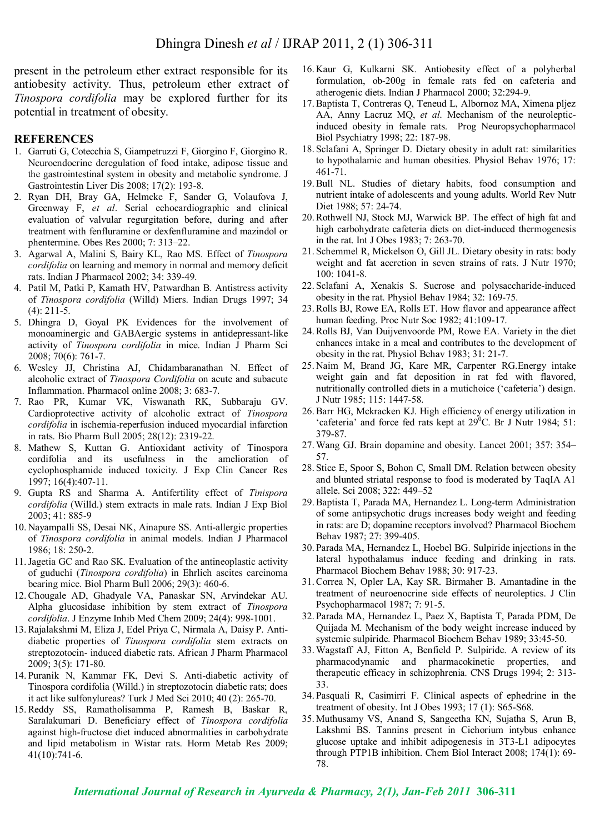present in the petroleum ether extract responsible for its antiobesity activity. Thus, petroleum ether extract of *Tinospora cordifolia* may be explored further for its potential in treatment of obesity.

#### **REFERENCES**

- 1. Garruti G, Cotecchia S, Giampetruzzi F, Giorgino F, Giorgino R. Neuroendocrine deregulation of food intake, adipose tissue and the gastrointestinal system in obesity and metabolic syndrome. J Gastrointestin Liver Dis 2008; 17(2): 193-8.
- 2. Ryan DH, Bray GA, Helmcke F, Sander G, Volaufova J, Greenway F, *et al*. Serial echocardiographic and clinical evaluation of valvular regurgitation before, during and after treatment with fenfluramine or dexfenfluramine and mazindol or phentermine. Obes Res 2000; 7: 313–22.
- 3. Agarwal A, Malini S, Bairy KL, Rao MS. Effect of *Tinospora cordifolia* on learning and memory in normal and memory deficit rats. Indian J Pharmacol 2002; 34: 339-49.
- 4. Patil M, Patki P, Kamath HV, Patwardhan B. Antistress activity of *Tinospora cordifolia* (Willd) Miers. Indian Drugs 1997; 34 (4): 211-5.
- 5. Dhingra D, Goyal PK Evidences for the involvement of monoaminergic and GABAergic systems in antidepressant-like activity of *Tinospora cordifolia* in mice. Indian J Pharm Sci 2008; 70(6): 761-7.
- 6. Wesley JJ, Christina AJ, Chidambaranathan N. Effect of alcoholic extract of *Tinospora Cordifolia* on acute and subacute Inflammation. Pharmacol online 2008; 3: 683-7.
- 7. Rao PR, Kumar VK, Viswanath RK, Subbaraju GV. Cardioprotective activity of alcoholic extract of *Tinospora cordifolia* in ischemia-reperfusion induced myocardial infarction in rats. Bio Pharm Bull 2005; 28(12): 2319-22.
- 8. Mathew S, Kuttan G. Antioxidant activity of Tinospora cordifolia and its usefulness in the amelioration of cyclophosphamide induced toxicity. J Exp Clin Cancer Res 1997; 16(4):407-11.
- 9. Gupta RS and Sharma A. Antifertility effect of *Tinispora cordifolia* (Willd.) stem extracts in male rats. Indian J Exp Biol 2003; 41: 885-9
- 10. Nayampalli SS, Desai NK, Ainapure SS. Anti-allergic properties of *Tinospora cordifolia* in animal models. Indian J Pharmacol 1986; 18: 250-2.
- 11.Jagetia GC and Rao SK. Evaluation of the antineoplastic activity of guduchi (*Tinospora cordifolia*) in Ehrlich ascites carcinoma bearing mice. Biol Pharm Bull 2006; 29(3): 460-6.
- 12.Chougale AD, Ghadyale VA, Panaskar SN, Arvindekar AU. Alpha glucosidase inhibition by stem extract of *Tinospora cordifolia*. J Enzyme Inhib Med Chem 2009; 24(4): 998-1001.
- 13.Rajalakshmi M, Eliza J, Edel Priya C, Nirmala A, Daisy P. Antidiabetic properties of *Tinospora cordifolia* stem extracts on streptozotocin- induced diabetic rats. African J Pharm Pharmacol 2009; 3(5): 171-80.
- 14. Puranik N, Kammar FK, Devi S. Anti-diabetic activity of Tinospora cordifolia (Willd.) in streptozotocin diabetic rats; does it act like sulfonylureas? Turk J Med Sci 2010; 40 (2): 265-70.
- 15.Reddy SS, Ramatholisamma P, Ramesh B, Baskar R, Saralakumari D. Beneficiary effect of *Tinospora cordifolia* against high-fructose diet induced abnormalities in carbohydrate and lipid metabolism in Wistar rats. Horm Metab Res 2009; 41(10):741-6.
- 16. Kaur G, Kulkarni SK. Antiobesity effect of a polyherbal formulation, ob-200g in female rats fed on cafeteria and atherogenic diets. Indian J Pharmacol 2000; 32:294-9.
- 17.Baptista T, Contreras Q, Teneud L, Albornoz MA, Ximena pljez AA, Anny Lacruz MQ, *et al*. Mechanism of the neurolepticinduced obesity in female rats. Prog Neuropsychopharmacol Biol Psychiatry 1998; 22: 187-98.
- 18. Sclafani A, Springer D. Dietary obesity in adult rat: similarities to hypothalamic and human obesities. Physiol Behav 1976; 17: 461-71.
- 19.Bull NL. Studies of dietary habits, food consumption and nutrient intake of adolescents and young adults. World Rev Nutr Diet 1988; 57: 24-74.
- 20.Rothwell NJ, Stock MJ, Warwick BP. The effect of high fat and high carbohydrate cafeteria diets on diet-induced thermogenesis in the rat. Int J Obes 1983; 7: 263-70.
- 21. Schemmel R, Mickelson O, Gill JL. Dietary obesity in rats: body weight and fat accretion in seven strains of rats. J Nutr 1970; 100: 1041-8.
- 22. Sclafani A, Xenakis S. Sucrose and polysaccharide-induced obesity in the rat. Physiol Behav 1984; 32: 169-75.
- 23.Rolls BJ, Rowe EA, Rolls ET. How flavor and appearance affect human feeding. Proc Nutr Soc 1982; 41:109-17.
- 24.Rolls BJ, Van Duijvenvoorde PM, Rowe EA. Variety in the diet enhances intake in a meal and contributes to the development of obesity in the rat. Physiol Behav 1983; 31: 21-7.
- 25. Naim M, Brand JG, Kare MR, Carpenter RG.Energy intake weight gain and fat deposition in rat fed with flavored, nutritionally controlled diets in a mutichoice ('cafeteria') design. J Nutr 1985; 115: 1447-58.
- 26.Barr HG, Mckracken KJ. High efficiency of energy utilization in 'cafeteria' and force fed rats kept at  $29^{\circ}$ C. Br J Nutr 1984; 51: 379-87.
- 27.Wang GJ. Brain dopamine and obesity. Lancet 2001; 357: 354– 57.
- 28. Stice E, Spoor S, Bohon C, Small DM. Relation between obesity and blunted striatal response to food is moderated by TaqIA A1 allele. Sci 2008; 322: 449–52
- 29.Baptista T, Parada MA, Hernandez L. Long-term Administration of some antipsychotic drugs increases body weight and feeding in rats: are D; dopamine receptors involved? Pharmacol Biochem Behav 1987; 27: 399-405.
- 30. Parada MA, Hernandez L, Hoebel BG. Sulpiride injections in the lateral hypothalamus induce feeding and drinking in rats. Pharmacol Biochem Behav 1988; 30: 917-23.
- 31.Correa N, Opler LA, Kay SR. Birmaher B. Amantadine in the treatment of neuroenocrine side effects of neuroleptics. J Clin Psychopharmacol 1987; 7: 91-5.
- 32. Parada MA, Hernandez L, Paez X, Baptista T, Parada PDM, De Quijada M. Mechanism of the body weight increase induced by systemic sulpiride. Pharmacol Biochem Behav 1989; 33:45-50.
- 33.Wagstaff AJ, Fitton A, Benfield P. Sulpiride. A review of its pharmacodynamic and pharmacokinetic properties, and therapeutic efficacy in schizophrenia. CNS Drugs 1994; 2: 313- 33.
- 34. Pasquali R, Casimirri F. Clinical aspects of ephedrine in the treatment of obesity. Int J Obes 1993; 17 (1): S65-S68.
- 35. Muthusamy VS, Anand S, Sangeetha KN, Sujatha S, Arun B, Lakshmi BS. Tannins present in Cichorium intybus enhance glucose uptake and inhibit adipogenesis in 3T3-L1 adipocytes through PTP1B inhibition. Chem Biol Interact 2008; 174(1): 69- 78.

*International Journal of Research in Ayurveda & Pharmacy, 2(1), Jan-Feb 2011* **306-311**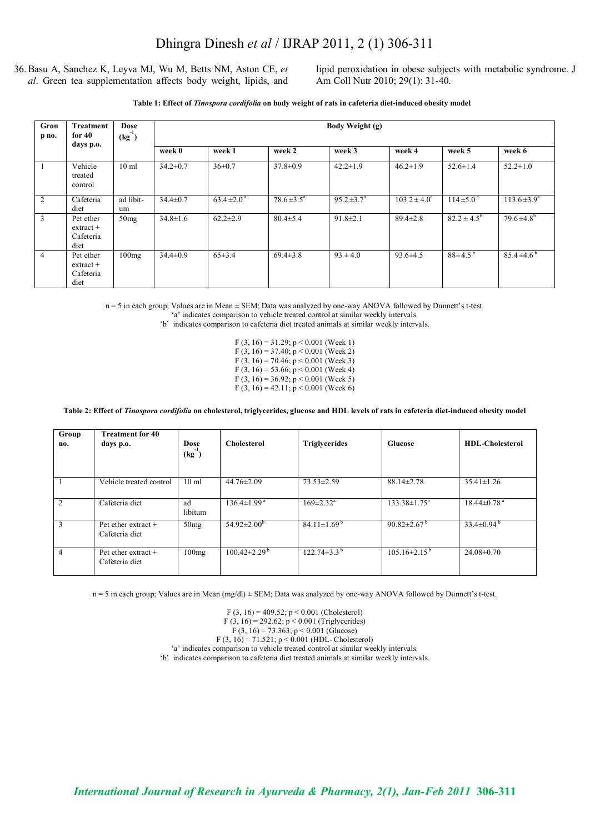36.Basu A, Sanchez K, Leyva MJ, Wu M, Betts NM, Aston CE, *et al*. Green tea supplementation affects body weight, lipids, and

lipid peroxidation in obese subjects with metabolic syndrome. J Am Coll Nutr 2010; 29(1): 31-40.

**Table 1: Effect of** *Tinospora cordifolia* **on body weight of rats in cafeteria diet-induced obesity model**

| Grou<br>p no.  | Treatment<br>for $40$<br>days p.o.                   | Dose<br>$(kg^{-1})$ | Body Weight (g) |                           |                           |                        |                   |                        |                         |  |
|----------------|------------------------------------------------------|---------------------|-----------------|---------------------------|---------------------------|------------------------|-------------------|------------------------|-------------------------|--|
|                |                                                      |                     | week 0          | week 1                    | week 2                    | week 3                 | week 4            | week 5                 | week 6                  |  |
|                | Vehicle<br>treated<br>control                        | $10 \text{ ml}$     | $34.2 \pm 0.7$  | $36\pm0.7$                | $37.8 \pm 0.9$            | $42.2 \pm 1.9$         | $46.2 \pm 1.9$    | $52.6 \pm 1.4$         | $52.2 \pm 1.0$          |  |
| $\overline{2}$ | Cafeteria<br>diet                                    | ad libit-<br>um     | $34.4 \pm 0.7$  | $63.4 \pm 2.0^{\text{a}}$ | $78.6 \pm 3.5^{\text{a}}$ | $95.2 \pm 3.7^{\circ}$ | $103.2 \pm 4.0^a$ | $114 \pm 5.0^{\circ}$  | $113.6 \pm 3.9^{\circ}$ |  |
| 3              | Pet ether<br>$ext{rac}$<br>Cafeteria<br>diet         | 50mg                | $34.8 \pm 1.6$  | $62.2 \pm 2.9$            | $80.4 \pm 5.4$            | $91.8 \pm 2.1$         | $89.4 \pm 2.8$    | $82.2 \pm 4.5^{\rm b}$ | $79.6 \pm 4.8^b$        |  |
| $\overline{4}$ | Pet ether<br>$extrac{t+1}{t+1}$<br>Cafeteria<br>diet | 100mg               | $34.4 \pm 0.9$  | $65\pm3.4$                | $69.4 \pm 3.8$            | $93 \pm 4.0$           | $93.6 \pm 4.5$    | $88\pm4.5^{b}$         | $85.4 \pm 4.6^{\circ}$  |  |

n = 5 in each group; Values are in Mean ± SEM; Data was analyzed by one-way ANOVA followed by Dunnett's t-test.

'a' indicates comparison to vehicle treated control at similar weekly intervals.

'b' indicates comparison to cafeteria diet treated animals at similar weekly intervals.

F (3, 16) = 31.29; p < 0.001 (Week 1) F (3, 16) = 37.40;  $p < 0.001$  (Week 2) F  $(3, 16) = 70.46$ ; p < 0.001 (Week 3) F  $(3, 16) = 53.66$ ; p < 0.001 (Week 4) F (3, 16) = 36.92;  $p < 0.001$  (Week 5) F (3, 16) = 42.11;  $p < 0.001$  (Week 6)

**Table 2: Effect of** *Tinospora cordifolia* **on cholesterol, triglycerides, glucose and HDL levels of rats in cafeteria diet-induced obesity model**

| Group<br>no.   | <b>Treatment for 40</b><br>days p.o.    | Dose<br>$(kg^{-1})$ | <b>Cholesterol</b>             | <b>Triglycerides</b>          | Glucose                        | <b>HDL-Cholesterol</b>        |
|----------------|-----------------------------------------|---------------------|--------------------------------|-------------------------------|--------------------------------|-------------------------------|
|                | Vehicle treated control                 | 10 <sub>ml</sub>    | $44.76 \pm 2.09$               | $73.53 \pm 2.59$              | $88.14 \pm 2.78$               | $35.41 \pm 1.26$              |
| 2              | Cafeteria diet                          | ad<br>libitum       | $136.4 \pm 1.99$ <sup>a</sup>  | $169 \pm 2.32$ <sup>a</sup>   | $133.38 \pm 1.75^a$            | $18.44 \pm 0.78$ <sup>a</sup> |
| 3              | Pet ether extract $+$<br>Cafeteria diet | 50mg                | $54.92 \pm 2.00^{\mathrm{b}}$  | $84.11 \pm 1.69^{\mathrm{b}}$ | 90.82 $\pm$ 2.67 <sup>b</sup>  | $33.4\pm0.94^{\mathrm{b}}$    |
| $\overline{4}$ | Pet ether extract +<br>Cafeteria diet   | 100mg               | $100.42 \pm 2.29^{\mathrm{b}}$ | $122.74\pm3.3^{b}$            | $105.16 \pm 2.15^{\mathrm{b}}$ | $24.08 \pm 0.70$              |

n = 5 in each group; Values are in Mean (mg/dl)  $\pm$  SEM; Data was analyzed by one-way ANOVA followed by Dunnett's t-test.

F (3, 16) = 409.52; p < 0.001 (Cholesterol) F (3, 16) = 292.62; p < 0.001 (Triglycerides)

$$
F(3, 16) = 73.363; p < 0.001
$$
 (Glucose)  
F(3, 16) = 71.521; p < 0.001 (HDL-Cholesterol)

'a' indicates comparison to vehicle treated control at similar weekly intervals.

'b' indicates comparison to cafeteria diet treated animals at similar weekly intervals.

*International Journal of Research in Ayurveda & Pharmacy, 2(1), Jan-Feb 2011* **306-311**